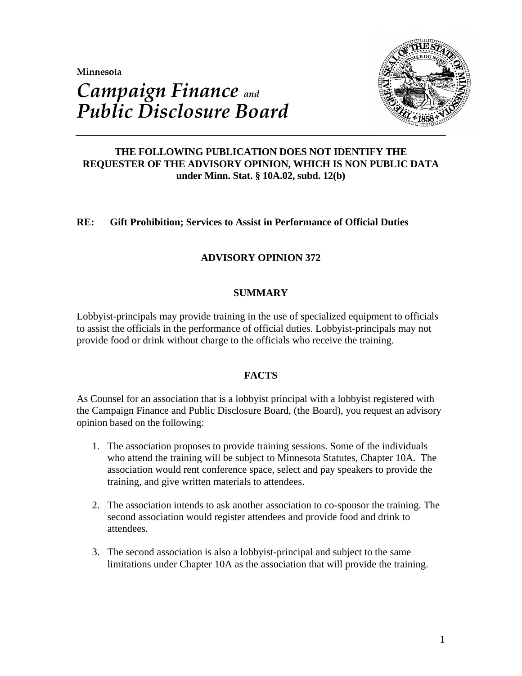**Minnesota** 



# *Campaign Finance and Public Disclosure Board*

# **THE FOLLOWING PUBLICATION DOES NOT IDENTIFY THE REQUESTER OF THE ADVISORY OPINION, WHICH IS NON PUBLIC DATA under Minn. Stat. § 10A.02, subd. 12(b)**

# **RE: Gift Prohibition; Services to Assist in Performance of Official Duties**

# **ADVISORY OPINION 372**

## **SUMMARY**

Lobbyist-principals may provide training in the use of specialized equipment to officials to assist the officials in the performance of official duties. Lobbyist-principals may not provide food or drink without charge to the officials who receive the training.

### **FACTS**

As Counsel for an association that is a lobbyist principal with a lobbyist registered with the Campaign Finance and Public Disclosure Board, (the Board), you request an advisory opinion based on the following:

- 1. The association proposes to provide training sessions. Some of the individuals who attend the training will be subject to Minnesota Statutes, Chapter 10A. The association would rent conference space, select and pay speakers to provide the training, and give written materials to attendees.
- 2. The association intends to ask another association to co-sponsor the training. The second association would register attendees and provide food and drink to attendees.
- 3. The second association is also a lobbyist-principal and subject to the same limitations under Chapter 10A as the association that will provide the training.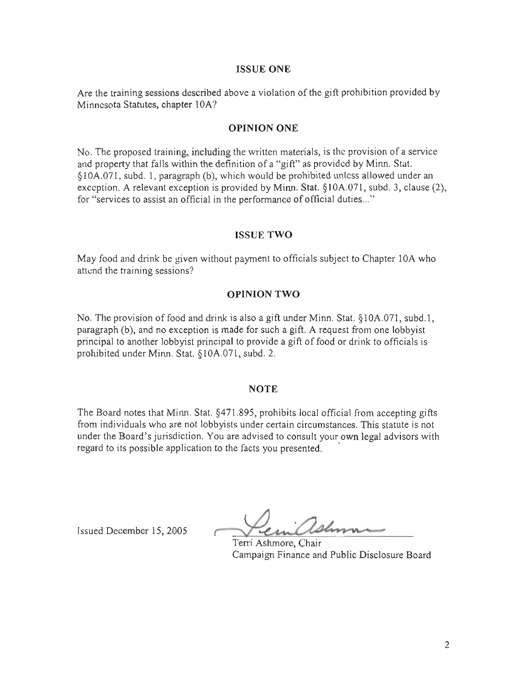#### **ISSUE ONE**

Are the training sessions described above a violation of the gift prohibition provided by Minnesota Statutes, chapter 10A?

#### **OPINION ONE**

No. The proposed training, including the written materials, is the provision of a service and property that falls within the definition of a "gift" as provided by Minn. Stat. §10A.071, subd. 1, paragraph (b), which would be prohibited unless allowed under an execption. A relevant exception is provided by Minn. Stat. §10A.071, subd. 3, clause (2), for "services to assist an official in the performance of official duties..."

#### **ISSUE TWO**

May food and drink be given without payment to officials subject to Chapter 10A who attend the training sessions?

#### **OPINION TWO**

No. The provision of food and drink is also a gift under Minn. Stat. §10A.071, subd.1, paragraph (b), and no exception is made for such a gift. A request from one lobbyist principal to another lobbyist principal to provide a gift of food or drink to officials is prohibited under Minn. Stat. §10A.071, subd. 2.

#### **NOTE**

The Board notes that Minn. Stat. §471.895, prohibits local official from accepting gifts from individuals who are not lobbyists under certain circumstances. This statute is not under the Board's jurisdiction. You are advised to consult your own legal advisors with regard to its possible application to the facts you presented.

Issued December 15, 2005

Terri Ashmore, Chair Campaign Finance and Public Disclosure Board